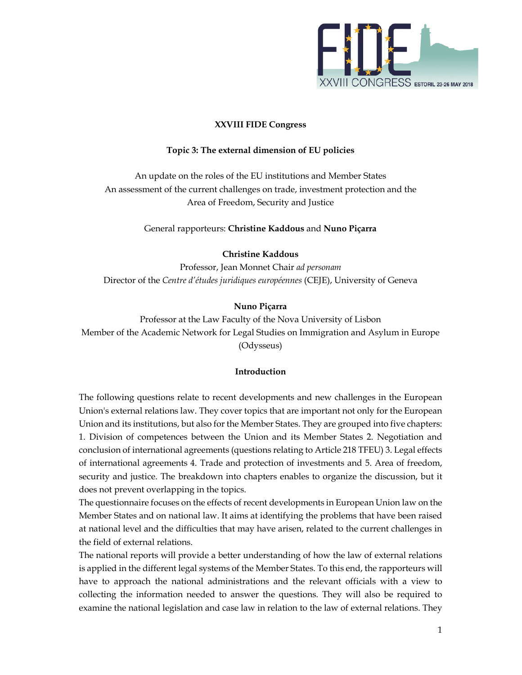

# **XXVIII FIDE Congress**

# **Topic 3: The external dimension of EU policies**

An update on the roles of the EU institutions and Member States An assessment of the current challenges on trade, investment protection and the Area of Freedom, Security and Justice

General rapporteurs: **Christine Kaddous** and **Nuno Piçarra** 

### **Christine Kaddous**

Professor, Jean Monnet Chair *ad personam* Director of the *Centre d'études juridiques européennes* (CEJE), University of Geneva

### **Nuno Piçarra**

Professor at the Law Faculty of the Nova University of Lisbon Member of the Academic Network for Legal Studies on Immigration and Asylum in Europe (Odysseus)

#### **Introduction**

The following questions relate to recent developments and new challenges in the European Union's external relations law. They cover topics that are important not only for the European Union and its institutions, but also for the Member States. They are grouped into five chapters: 1. Division of competences between the Union and its Member States 2. Negotiation and conclusion of international agreements (questions relating to Article 218 TFEU) 3. Legal effects of international agreements 4. Trade and protection of investments and 5. Area of freedom, security and justice. The breakdown into chapters enables to organize the discussion, but it does not prevent overlapping in the topics.

The questionnaire focuses on the effects of recent developments in European Union law on the Member States and on national law. It aims at identifying the problems that have been raised at national level and the difficulties that may have arisen, related to the current challenges in the field of external relations.

The national reports will provide a better understanding of how the law of external relations is applied in the different legal systems of the Member States. To this end, the rapporteurs will have to approach the national administrations and the relevant officials with a view to collecting the information needed to answer the questions. They will also be required to examine the national legislation and case law in relation to the law of external relations. They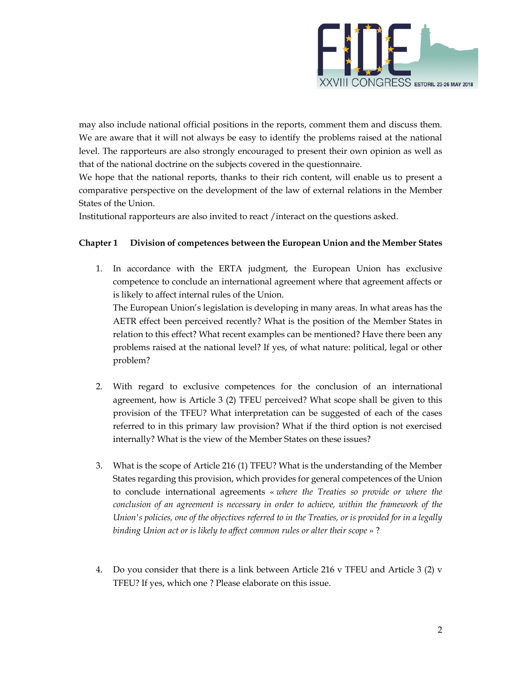

may also include national official positions in the reports, comment them and discuss them. We are aware that it will not always be easy to identify the problems raised at the national level. The rapporteurs are also strongly encouraged to present their own opinion as well as that of the national doctrine on the subjects covered in the questionnaire.

We hope that the national reports, thanks to their rich content, will enable us to present a comparative perspective on the development of the law of external relations in the Member States of the Union.

Institutional rapporteurs are also invited to react /interact on the questions asked.

# **Chapter 1 Division of competences between the European Union and the Member States**

1. In accordance with the ERTA judgment, the European Union has exclusive competence to conclude an international agreement where that agreement affects or is likely to affect internal rules of the Union.

The European Union's legislation is developing in many areas. In what areas has the AETR effect been perceived recently? What is the position of the Member States in relation to this effect? What recent examples can be mentioned? Have there been any problems raised at the national level? If yes, of what nature: political, legal or other problem?

- 2. With regard to exclusive competences for the conclusion of an international agreement, how is Article 3 (2) TFEU perceived? What scope shall be given to this provision of the TFEU? What interpretation can be suggested of each of the cases referred to in this primary law provision? What if the third option is not exercised internally? What is the view of the Member States on these issues?
- 3. What is the scope of Article 216 (1) TFEU? What is the understanding of the Member States regarding this provision, which provides for general competences of the Union to conclude international agreements « *where the Treaties so provide or where the conclusion of an agreement is necessary in order to achieve, within the framework of the Union's policies, one of the objectives referred to in the Treaties, or is provided for in a legally binding Union act or is likely to affect common rules or alter their scope* » ?
- 4. Do you consider that there is a link between Article 216 v TFEU and Article 3 (2) v TFEU? If yes, which one ? Please elaborate on this issue.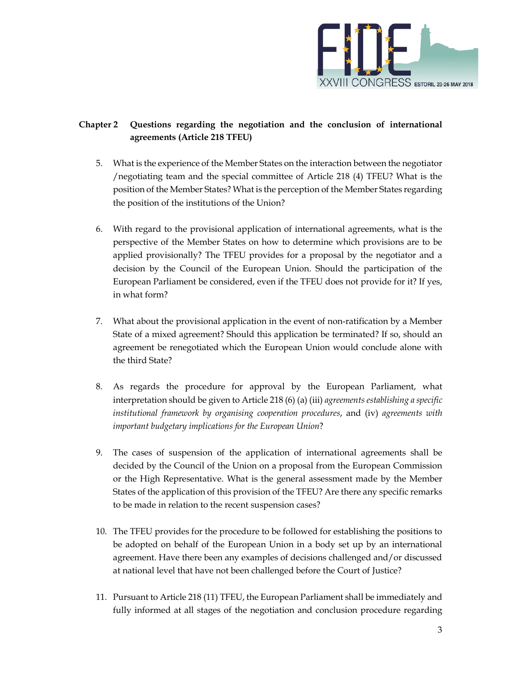

# **Chapter 2 Questions regarding the negotiation and the conclusion of international agreements (Article 218 TFEU)**

- 5. What is the experience of the Member States on the interaction between the negotiator /negotiating team and the special committee of Article 218 (4) TFEU? What is the position of the Member States? What is the perception of the Member States regarding the position of the institutions of the Union?
- 6. With regard to the provisional application of international agreements, what is the perspective of the Member States on how to determine which provisions are to be applied provisionally? The TFEU provides for a proposal by the negotiator and a decision by the Council of the European Union. Should the participation of the European Parliament be considered, even if the TFEU does not provide for it? If yes, in what form?
- 7. What about the provisional application in the event of non-ratification by a Member State of a mixed agreement? Should this application be terminated? If so, should an agreement be renegotiated which the European Union would conclude alone with the third State?
- 8. As regards the procedure for approval by the European Parliament, what interpretation should be given to Article 218 (6) (a) (iii) *agreements establishing a specific institutional framework by organising cooperation procedures*, and (iv) *agreements with important budgetary implications for the European Union*?
- 9. The cases of suspension of the application of international agreements shall be decided by the Council of the Union on a proposal from the European Commission or the High Representative. What is the general assessment made by the Member States of the application of this provision of the TFEU? Are there any specific remarks to be made in relation to the recent suspension cases?
- 10. The TFEU provides for the procedure to be followed for establishing the positions to be adopted on behalf of the European Union in a body set up by an international agreement. Have there been any examples of decisions challenged and/or discussed at national level that have not been challenged before the Court of Justice?
- 11. Pursuant to Article 218 (11) TFEU, the European Parliament shall be immediately and fully informed at all stages of the negotiation and conclusion procedure regarding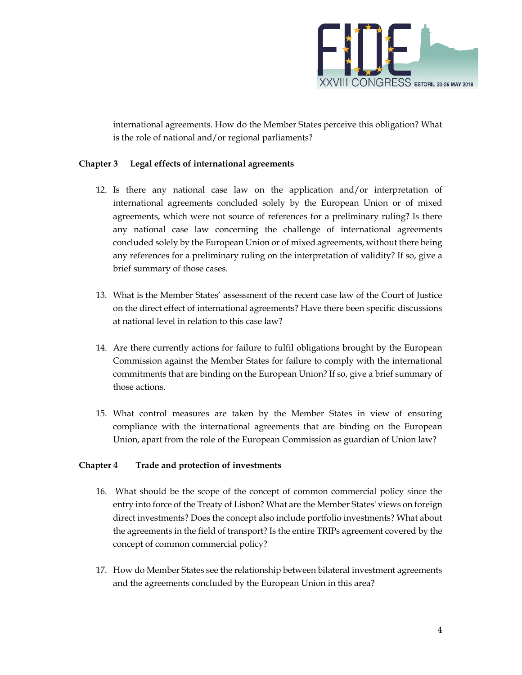

international agreements. How do the Member States perceive this obligation? What is the role of national and/or regional parliaments?

# **Chapter 3 Legal effects of international agreements**

- 12. Is there any national case law on the application and/or interpretation of international agreements concluded solely by the European Union or of mixed agreements, which were not source of references for a preliminary ruling? Is there any national case law concerning the challenge of international agreements concluded solely by the European Union or of mixed agreements, without there being any references for a preliminary ruling on the interpretation of validity? If so, give a brief summary of those cases.
- 13. What is the Member States' assessment of the recent case law of the Court of Justice on the direct effect of international agreements? Have there been specific discussions at national level in relation to this case law?
- 14. Are there currently actions for failure to fulfil obligations brought by the European Commission against the Member States for failure to comply with the international commitments that are binding on the European Union? If so, give a brief summary of those actions.
- 15. What control measures are taken by the Member States in view of ensuring compliance with the international agreements that are binding on the European Union, apart from the role of the European Commission as guardian of Union law?

### **Chapter 4 Trade and protection of investments**

- 16. What should be the scope of the concept of common commercial policy since the entry into force of the Treaty of Lisbon? What are the Member States' views on foreign direct investments? Does the concept also include portfolio investments? What about the agreements in the field of transport? Is the entire TRIPs agreement covered by the concept of common commercial policy?
- 17. How do Member States see the relationship between bilateral investment agreements and the agreements concluded by the European Union in this area?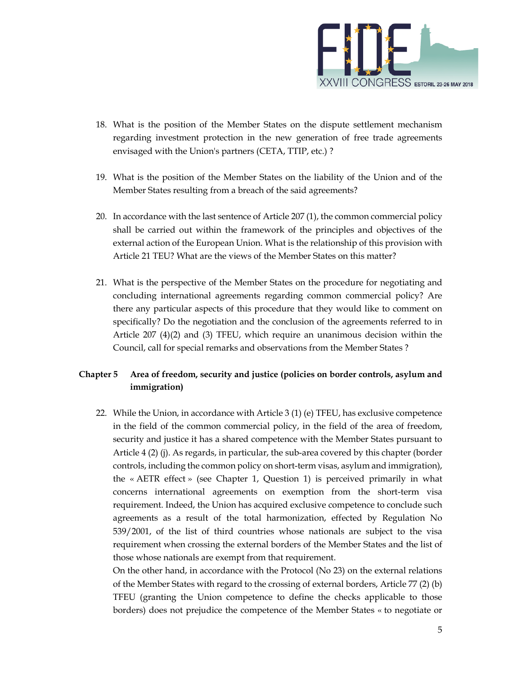

- 18. What is the position of the Member States on the dispute settlement mechanism regarding investment protection in the new generation of free trade agreements envisaged with the Union's partners (CETA, TTIP, etc.) ?
- 19. What is the position of the Member States on the liability of the Union and of the Member States resulting from a breach of the said agreements?
- 20. In accordance with the last sentence of Article 207 (1), the common commercial policy shall be carried out within the framework of the principles and objectives of the external action of the European Union. What is the relationship of this provision with Article 21 TEU? What are the views of the Member States on this matter?
- 21. What is the perspective of the Member States on the procedure for negotiating and concluding international agreements regarding common commercial policy? Are there any particular aspects of this procedure that they would like to comment on specifically? Do the negotiation and the conclusion of the agreements referred to in Article 207 (4)(2) and (3) TFEU, which require an unanimous decision within the Council, call for special remarks and observations from the Member States ?

# **Chapter 5 Area of freedom, security and justice (policies on border controls, asylum and immigration)**

22. While the Union, in accordance with Article 3 (1) (e) TFEU, has exclusive competence in the field of the common commercial policy, in the field of the area of freedom, security and justice it has a shared competence with the Member States pursuant to Article 4 (2) (j). As regards, in particular, the sub-area covered by this chapter (border controls, including the common policy on short-term visas, asylum and immigration), the « AETR effect » (see Chapter 1, Question 1) is perceived primarily in what concerns international agreements on exemption from the short-term visa requirement. Indeed, the Union has acquired exclusive competence to conclude such agreements as a result of the total harmonization, effected by Regulation No 539/2001, of the list of third countries whose nationals are subject to the visa requirement when crossing the external borders of the Member States and the list of those whose nationals are exempt from that requirement.

On the other hand, in accordance with the Protocol (No 23) on the external relations of the Member States with regard to the crossing of external borders, Article 77 (2) (b) TFEU (granting the Union competence to define the checks applicable to those borders) does not prejudice the competence of the Member States « to negotiate or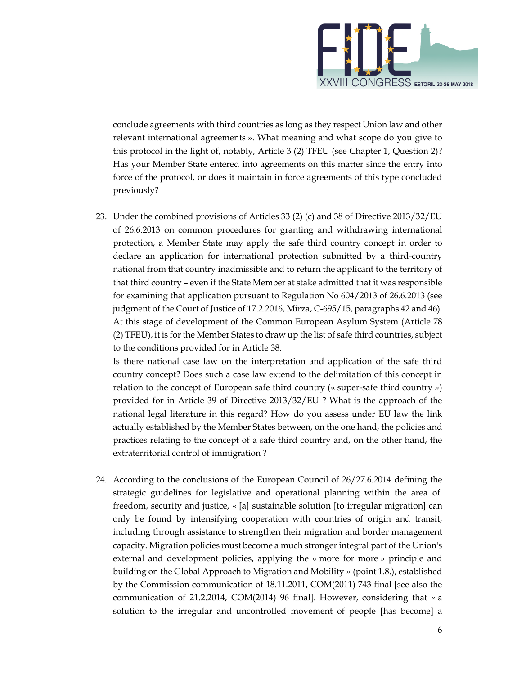

conclude agreements with third countries as long as they respect Union law and other relevant international agreements ». What meaning and what scope do you give to this protocol in the light of, notably, Article 3 (2) TFEU (see Chapter 1, Question 2)? Has your Member State entered into agreements on this matter since the entry into force of the protocol, or does it maintain in force agreements of this type concluded previously?

23. Under the combined provisions of Articles 33 (2) (c) and 38 of Directive 2013/32/EU of 26.6.2013 on common procedures for granting and withdrawing international protection, a Member State may apply the safe third country concept in order to declare an application for international protection submitted by a third-country national from that country inadmissible and to return the applicant to the territory of that third country – even if the State Member at stake admitted that it was responsible for examining that application pursuant to Regulation No 604/2013 of 26.6.2013 (see judgment of the Court of Justice of 17.2.2016, Mirza, C-695/15, paragraphs 42 and 46). At this stage of development of the Common European Asylum System (Article 78 (2) TFEU), it is for the Member States to draw up the list of safe third countries, subject to the conditions provided for in Article 38.

Is there national case law on the interpretation and application of the safe third country concept? Does such a case law extend to the delimitation of this concept in relation to the concept of European safe third country (« super-safe third country ») provided for in Article 39 of Directive 2013/32/EU ? What is the approach of the national legal literature in this regard? How do you assess under EU law the link actually established by the Member States between, on the one hand, the policies and practices relating to the concept of a safe third country and, on the other hand, the extraterritorial control of immigration ?

24. According to the conclusions of the European Council of 26/27.6.2014 defining the strategic guidelines for legislative and operational planning within the area of freedom, security and justice, « [a] sustainable solution [to irregular migration] can only be found by intensifying cooperation with countries of origin and transit, including through assistance to strengthen their migration and border management capacity. Migration policies must become a much stronger integral part of the Union's external and development policies, applying the « more for more » principle and building on the Global Approach to Migration and Mobility » (point 1.8.), established by the Commission communication of 18.11.2011, COM(2011) 743 final [see also the communication of 21.2.2014, COM(2014) 96 final]. However, considering that « a solution to the irregular and uncontrolled movement of people [has become] a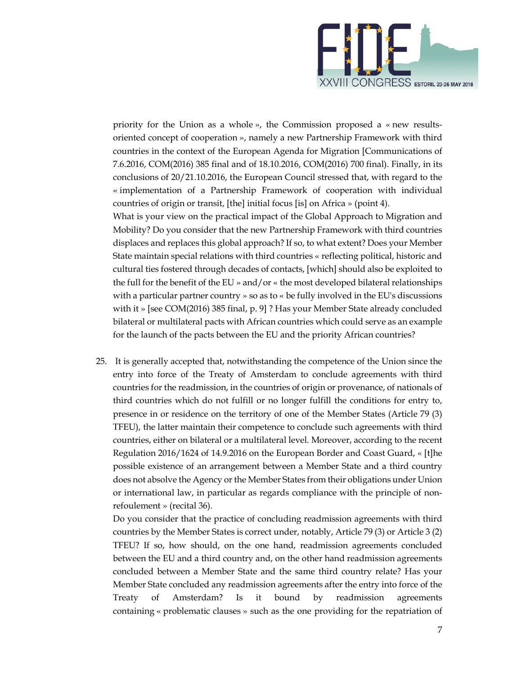

priority for the Union as a whole », the Commission proposed a « new resultsoriented concept of cooperation », namely a new Partnership Framework with third countries in the context of the European Agenda for Migration [Communications of 7.6.2016, COM(2016) 385 final and of 18.10.2016, COM(2016) 700 final). Finally, in its conclusions of 20/21.10.2016, the European Council stressed that, with regard to the « implementation of a Partnership Framework of cooperation with individual countries of origin or transit, [the] initial focus [is] on Africa » (point 4).

What is your view on the practical impact of the Global Approach to Migration and Mobility? Do you consider that the new Partnership Framework with third countries displaces and replaces this global approach? If so, to what extent? Does your Member State maintain special relations with third countries « reflecting political, historic and cultural ties fostered through decades of contacts, [which] should also be exploited to the full for the benefit of the EU » and/or « the most developed bilateral relationships with a particular partner country » so as to « be fully involved in the EU's discussions with it » [see COM(2016) 385 final, p. 9] ? Has your Member State already concluded bilateral or multilateral pacts with African countries which could serve as an example for the launch of the pacts between the EU and the priority African countries?

25. It is generally accepted that, notwithstanding the competence of the Union since the entry into force of the Treaty of Amsterdam to conclude agreements with third countries for the readmission, in the countries of origin or provenance, of nationals of third countries which do not fulfill or no longer fulfill the conditions for entry to, presence in or residence on the territory of one of the Member States (Article 79 (3) TFEU), the latter maintain their competence to conclude such agreements with third countries, either on bilateral or a multilateral level. Moreover, according to the recent Regulation 2016/1624 of 14.9.2016 on the European Border and Coast Guard, « [t]he possible existence of an arrangement between a Member State and a third country does not absolve the Agency or the Member States from their obligations under Union or international law, in particular as regards compliance with the principle of nonrefoulement » (recital 36).

Do you consider that the practice of concluding readmission agreements with third countries by the Member States is correct under, notably, Article 79 (3) or Article 3 (2) TFEU? If so, how should, on the one hand, readmission agreements concluded between the EU and a third country and, on the other hand readmission agreements concluded between a Member State and the same third country relate? Has your Member State concluded any readmission agreements after the entry into force of the Treaty of Amsterdam? Is it bound by readmission agreements containing « problematic clauses » such as the one providing for the repatriation of